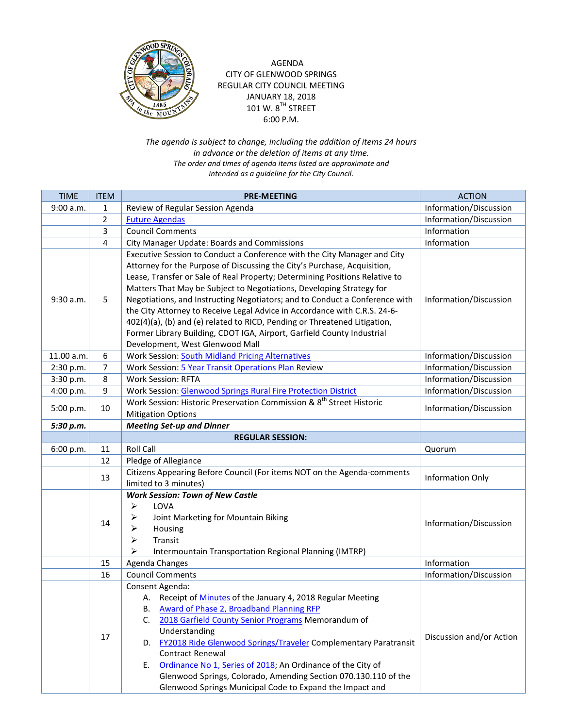

## AGENDA CITY OF GLENWOOD SPRINGS REGULAR CITY COUNCIL MEETING JANUARY 18, 2018  $101$  W.  $8^{TH}$  STREET 6:00 P.M.

*The agenda is subject to change, including the addition of items 24 hours in advance or the deletion of items at any time. The order and times of agenda items listed are approximate and intended as a guideline for the City Council.*

| <b>TIME</b> | <b>ITEM</b>    | <b>PRE-MEETING</b>                                                                                                                                                                                                                                                                                                                                                                                                                                                                                                                                                                                                                                                | <b>ACTION</b>            |
|-------------|----------------|-------------------------------------------------------------------------------------------------------------------------------------------------------------------------------------------------------------------------------------------------------------------------------------------------------------------------------------------------------------------------------------------------------------------------------------------------------------------------------------------------------------------------------------------------------------------------------------------------------------------------------------------------------------------|--------------------------|
| 9:00 a.m.   | 1              | Review of Regular Session Agenda                                                                                                                                                                                                                                                                                                                                                                                                                                                                                                                                                                                                                                  | Information/Discussion   |
|             | $\overline{2}$ | <b>Future Agendas</b>                                                                                                                                                                                                                                                                                                                                                                                                                                                                                                                                                                                                                                             | Information/Discussion   |
|             | 3              | <b>Council Comments</b>                                                                                                                                                                                                                                                                                                                                                                                                                                                                                                                                                                                                                                           | Information              |
|             | 4              | City Manager Update: Boards and Commissions                                                                                                                                                                                                                                                                                                                                                                                                                                                                                                                                                                                                                       | Information              |
| 9:30 a.m.   | 5              | Executive Session to Conduct a Conference with the City Manager and City<br>Attorney for the Purpose of Discussing the City's Purchase, Acquisition,<br>Lease, Transfer or Sale of Real Property; Determining Positions Relative to<br>Matters That May be Subject to Negotiations, Developing Strategy for<br>Negotiations, and Instructing Negotiators; and to Conduct a Conference with<br>the City Attorney to Receive Legal Advice in Accordance with C.R.S. 24-6-<br>402(4)(a), (b) and (e) related to RICD, Pending or Threatened Litigation,<br>Former Library Building, CDOT IGA, Airport, Garfield County Industrial<br>Development, West Glenwood Mall | Information/Discussion   |
| 11.00 a.m.  | 6              | Work Session: South Midland Pricing Alternatives                                                                                                                                                                                                                                                                                                                                                                                                                                                                                                                                                                                                                  | Information/Discussion   |
| 2:30 p.m.   | 7              | Work Session: 5 Year Transit Operations Plan Review                                                                                                                                                                                                                                                                                                                                                                                                                                                                                                                                                                                                               | Information/Discussion   |
| 3:30 p.m.   | 8              | <b>Work Session: RFTA</b>                                                                                                                                                                                                                                                                                                                                                                                                                                                                                                                                                                                                                                         | Information/Discussion   |
| 4:00 p.m.   | 9              | Work Session: Glenwood Springs Rural Fire Protection District                                                                                                                                                                                                                                                                                                                                                                                                                                                                                                                                                                                                     | Information/Discussion   |
| 5:00 p.m.   | 10             | Work Session: Historic Preservation Commission & 8 <sup>th</sup> Street Historic<br><b>Mitigation Options</b>                                                                                                                                                                                                                                                                                                                                                                                                                                                                                                                                                     | Information/Discussion   |
| 5:30 p.m.   |                | <b>Meeting Set-up and Dinner</b>                                                                                                                                                                                                                                                                                                                                                                                                                                                                                                                                                                                                                                  |                          |
|             |                | <b>REGULAR SESSION:</b>                                                                                                                                                                                                                                                                                                                                                                                                                                                                                                                                                                                                                                           |                          |
| 6:00 p.m.   | 11             | <b>Roll Call</b>                                                                                                                                                                                                                                                                                                                                                                                                                                                                                                                                                                                                                                                  | Quorum                   |
|             | 12             | Pledge of Allegiance                                                                                                                                                                                                                                                                                                                                                                                                                                                                                                                                                                                                                                              |                          |
|             | 13             | Citizens Appearing Before Council (For items NOT on the Agenda-comments<br>limited to 3 minutes)                                                                                                                                                                                                                                                                                                                                                                                                                                                                                                                                                                  | <b>Information Only</b>  |
|             | 14             | <b>Work Session: Town of New Castle</b><br>➤<br>LOVA<br>Joint Marketing for Mountain Biking<br>➤<br>➤<br>Housing<br>Transit<br>⋗<br>⋗<br>Intermountain Transportation Regional Planning (IMTRP)                                                                                                                                                                                                                                                                                                                                                                                                                                                                   | Information/Discussion   |
|             | 15             | Agenda Changes                                                                                                                                                                                                                                                                                                                                                                                                                                                                                                                                                                                                                                                    | Information              |
|             | 16             | <b>Council Comments</b>                                                                                                                                                                                                                                                                                                                                                                                                                                                                                                                                                                                                                                           | Information/Discussion   |
|             | 17             | Consent Agenda:<br>A. Receipt of <b>Minutes</b> of the January 4, 2018 Regular Meeting<br><b>Award of Phase 2, Broadband Planning RFP</b><br>В.<br>2018 Garfield County Senior Programs Memorandum of<br>C.<br>Understanding<br>FY2018 Ride Glenwood Springs/Traveler Complementary Paratransit<br>D.<br><b>Contract Renewal</b><br>Ordinance No 1, Series of 2018; An Ordinance of the City of<br>Е.<br>Glenwood Springs, Colorado, Amending Section 070.130.110 of the<br>Glenwood Springs Municipal Code to Expand the Impact and                                                                                                                              | Discussion and/or Action |